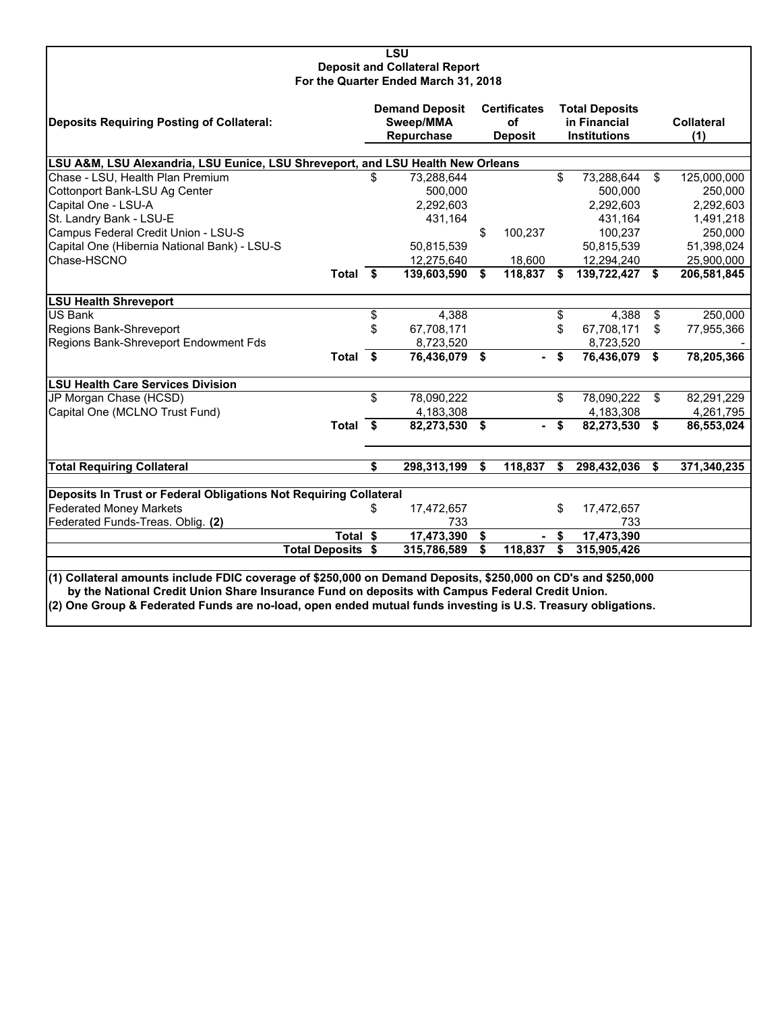#### **LSU Deposit and Collateral Report For the Quarter Ended March 31, 2018**

| Deposits Requiring Posting of Collateral:                                                                                                                                                                                                                                                                                        |          | <b>Demand Deposit</b><br>Sweep/MMA<br>Repurchase | <b>Certificates</b><br>of<br><b>Deposit</b> |    | <b>Total Deposits</b><br>in Financial<br><b>Institutions</b> | <b>Collateral</b><br>(1)        |
|----------------------------------------------------------------------------------------------------------------------------------------------------------------------------------------------------------------------------------------------------------------------------------------------------------------------------------|----------|--------------------------------------------------|---------------------------------------------|----|--------------------------------------------------------------|---------------------------------|
|                                                                                                                                                                                                                                                                                                                                  |          |                                                  |                                             |    |                                                              |                                 |
| LSU A&M, LSU Alexandria, LSU Eunice, LSU Shreveport, and LSU Health New Orleans<br>Chase - LSU, Health Plan Premium                                                                                                                                                                                                              | \$.      | 73,288,644                                       |                                             | \$ | 73,288,644                                                   | \$<br>125,000,000               |
|                                                                                                                                                                                                                                                                                                                                  |          | 500,000                                          |                                             |    | 500.000                                                      | 250,000                         |
| Cottonport Bank-LSU Ag Center<br>Capital One - LSU-A                                                                                                                                                                                                                                                                             |          | 2,292,603                                        |                                             |    | 2,292,603                                                    |                                 |
| St. Landry Bank - LSU-E                                                                                                                                                                                                                                                                                                          |          |                                                  |                                             |    |                                                              | 2,292,603                       |
| Campus Federal Credit Union - LSU-S                                                                                                                                                                                                                                                                                              |          | 431,164                                          | \$<br>100,237                               |    | 431,164<br>100,237                                           | 1,491,218<br>250,000            |
|                                                                                                                                                                                                                                                                                                                                  |          |                                                  |                                             |    |                                                              |                                 |
| Capital One (Hibernia National Bank) - LSU-S<br>Chase-HSCNO                                                                                                                                                                                                                                                                      |          | 50,815,539                                       |                                             |    | 50,815,539                                                   | 51,398,024                      |
| Total $\overline{\$}$                                                                                                                                                                                                                                                                                                            |          | 12,275,640<br>139,603,590                        | \$<br>18,600<br>118,837                     | S. | 12,294,240<br>139,722,427                                    | \$<br>25,900,000<br>206,581,845 |
|                                                                                                                                                                                                                                                                                                                                  |          |                                                  |                                             |    |                                                              |                                 |
| <b>LSU Health Shreveport</b>                                                                                                                                                                                                                                                                                                     |          |                                                  |                                             |    |                                                              |                                 |
| <b>US Bank</b>                                                                                                                                                                                                                                                                                                                   | \$       | 4,388                                            |                                             | \$ | 4,388                                                        | \$<br>250,000                   |
| Regions Bank-Shreveport                                                                                                                                                                                                                                                                                                          | \$       | 67,708,171                                       |                                             | \$ | 67,708,171                                                   | \$<br>77,955,366                |
| Regions Bank-Shreveport Endowment Fds                                                                                                                                                                                                                                                                                            |          | 8,723,520                                        |                                             |    | 8,723,520                                                    |                                 |
| Total \$                                                                                                                                                                                                                                                                                                                         |          | 76,436,079 \$                                    |                                             | \$ | 76,436,079                                                   | \$<br>78,205,366                |
| <b>LSU Health Care Services Division</b>                                                                                                                                                                                                                                                                                         |          |                                                  |                                             |    |                                                              |                                 |
| JP Morgan Chase (HCSD)                                                                                                                                                                                                                                                                                                           | \$       | 78,090,222                                       |                                             | \$ | 78,090,222                                                   | \$<br>82,291,229                |
| Capital One (MCLNO Trust Fund)                                                                                                                                                                                                                                                                                                   |          | 4,183,308                                        |                                             |    | 4,183,308                                                    | 4,261,795                       |
| Total \$                                                                                                                                                                                                                                                                                                                         |          | 82,273,530 \$                                    |                                             | \$ | 82,273,530                                                   | \$<br>86,553,024                |
|                                                                                                                                                                                                                                                                                                                                  |          |                                                  |                                             |    |                                                              |                                 |
| <b>Total Requiring Collateral</b>                                                                                                                                                                                                                                                                                                | \$       | 298,313,199                                      | \$<br>118,837                               | \$ | 298,432,036                                                  | \$<br>371,340,235               |
| Deposits In Trust or Federal Obligations Not Requiring Collateral                                                                                                                                                                                                                                                                |          |                                                  |                                             |    |                                                              |                                 |
| <b>Federated Money Markets</b>                                                                                                                                                                                                                                                                                                   | S        | 17,472,657                                       |                                             | \$ | 17,472,657                                                   |                                 |
| Federated Funds-Treas. Oblig. (2)                                                                                                                                                                                                                                                                                                |          | 733                                              |                                             |    | 733                                                          |                                 |
|                                                                                                                                                                                                                                                                                                                                  | Total \$ | 17,473,390                                       | \$                                          | \$ | 17,473,390                                                   |                                 |
| <b>Total Deposits \$</b>                                                                                                                                                                                                                                                                                                         |          | 315,786,589                                      | \$<br>118,837                               | \$ | 315,905,426                                                  |                                 |
|                                                                                                                                                                                                                                                                                                                                  |          |                                                  |                                             |    |                                                              |                                 |
| (1) Collateral amounts include FDIC coverage of \$250,000 on Demand Deposits, \$250,000 on CD's and \$250,000<br>by the National Credit Union Share Insurance Fund on deposits with Campus Federal Credit Union.<br>(2) One Group & Federated Funds are no-load, open ended mutual funds investing is U.S. Treasury obligations. |          |                                                  |                                             |    |                                                              |                                 |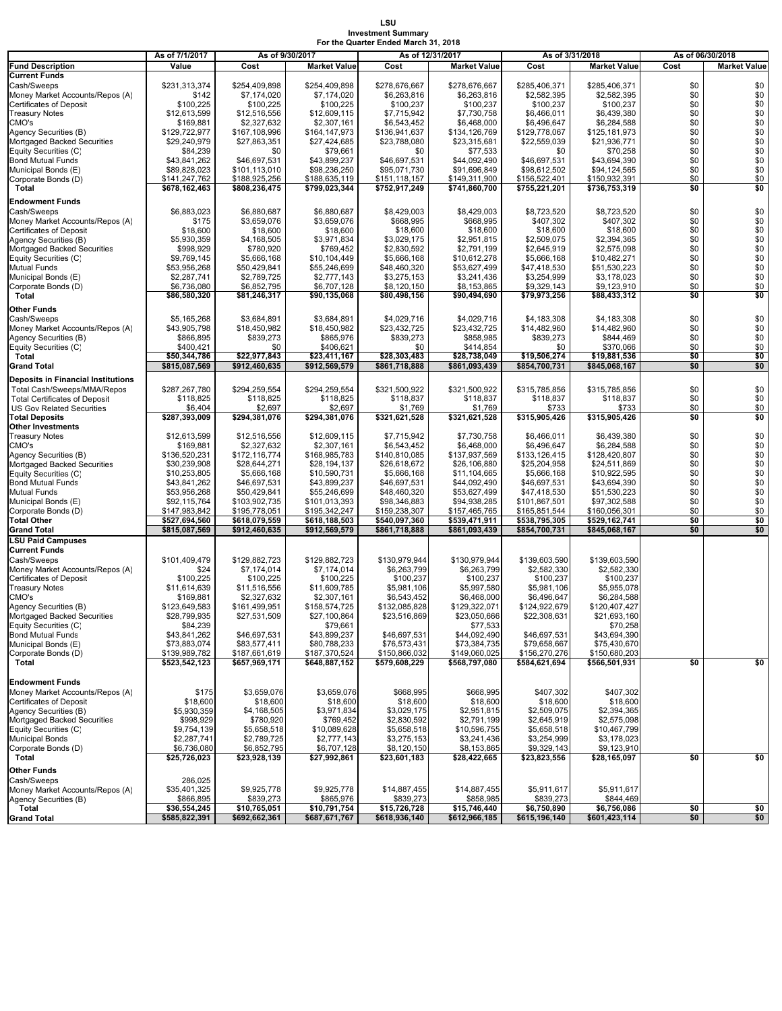# **LSU Investment Summary For the Quarter Ended March 31, 2018**

|                                                                          | As of 7/1/2017           | As of 9/30/2017               |                               | As of 12/31/2017              |                               |                               | As of 3/31/2018               | As of 06/30/2018 |                     |  |
|--------------------------------------------------------------------------|--------------------------|-------------------------------|-------------------------------|-------------------------------|-------------------------------|-------------------------------|-------------------------------|------------------|---------------------|--|
| <b>Fund Description</b>                                                  | Value                    | Cost                          | <b>Market Value</b>           | Cost                          | <b>Market Value</b>           | Cost                          | <b>Market Value</b>           | Cost             | <b>Market Value</b> |  |
| <b>Current Funds</b>                                                     |                          |                               |                               |                               |                               |                               |                               |                  |                     |  |
| Cash/Sweeps                                                              | \$231,313,374            | \$254,409,898                 | \$254,409,898                 | \$278,676,667                 | \$278,676,667                 | \$285,406,371                 | \$285,406,371                 | \$0              | \$0                 |  |
| Money Market Accounts/Repos (A)                                          | \$142                    | \$7,174,020                   | \$7,174,020                   | \$6,263,816                   | \$6,263,816                   | \$2,582,395                   | \$2,582,395                   | \$0              | \$0                 |  |
| Certificates of Deposit                                                  | \$100,225                | \$100,225                     | \$100,225                     | \$100,237                     | \$100,237                     | \$100,237                     | \$100,237                     | \$0              | \$0                 |  |
| <b>Treasury Notes</b>                                                    | \$12,613,599             | \$12,516,556                  | \$12,609,115                  | \$7,715,942                   | \$7,730,758                   | \$6,466,011                   | \$6,439,380                   | \$0              | \$0                 |  |
| CMO's                                                                    | \$169,881                | \$2,327,632                   | \$2,307,161                   | \$6,543,452                   | \$6,468,000                   | \$6,496,647                   | \$6,284,588                   | \$0              | $\$0$<br>\$0        |  |
| Agency Securities (B)                                                    | \$129,722,977            | \$167,108,996<br>\$27,863,351 | \$164,147,973<br>\$27,424,685 | \$136,941,637<br>\$23,788,080 | \$134,126,769<br>\$23,315,681 | \$129,778,067<br>\$22,559,039 | \$125,181,973<br>\$21,936,771 | \$0<br>\$0       | \$0                 |  |
| Mortgaged Backed Securities<br>Equity Securities (C)                     | \$29,240,979<br>\$84,239 | \$0                           | \$79,661                      | \$0                           | \$77,533                      | \$0                           | \$70,258                      | \$0              | \$0                 |  |
| <b>Bond Mutual Funds</b>                                                 | \$43,841,262             | \$46,697,531                  | \$43,899,237                  | \$46,697,531                  | \$44,092,490                  | \$46,697,531                  | \$43,694,390                  | \$0              | \$0                 |  |
| Municipal Bonds (E)                                                      | \$89,828,023             | \$101,113,010                 | \$98,236,250                  | \$95,071,730                  | \$91,696,849                  | \$98,612,502                  | \$94,124,565                  | \$0              | \$0                 |  |
| Corporate Bonds (D)                                                      | \$141,247,762            | \$188,925,256                 | \$188,635,119                 | \$151,118,157                 | \$149,311,900                 | \$156,522,401                 | \$150,932,391                 | \$0              | \$0                 |  |
| Total                                                                    | \$678,162,463            | \$808,236,475                 | \$799,023,344                 | \$752,917,249                 | \$741,860,700                 | \$755,221,201                 | \$736,753,319                 | \$0              | \$0                 |  |
| <b>Endowment Funds</b>                                                   |                          |                               |                               |                               |                               |                               |                               |                  |                     |  |
| Cash/Sweeps                                                              | \$6,883,023              | \$6,880,687                   | \$6,880,687                   | \$8,429,003                   | \$8,429,003                   | \$8,723,520                   | \$8,723,520                   | \$0              | \$0                 |  |
| Money Market Accounts/Repos (A)                                          | \$175                    | \$3,659,076                   | \$3,659,076                   | \$668,995                     | \$668,995                     | \$407,302                     | \$407,302                     | \$0              | \$0                 |  |
| Certificates of Deposit                                                  | \$18,600                 | \$18,600                      | \$18,600                      | \$18,600                      | \$18,600                      | \$18,600                      | \$18,600                      | \$0              | $\overline{$}0$     |  |
| Agency Securities (B)                                                    | \$5,930,359              | \$4,168,505                   | \$3,971,834                   | \$3,029,175                   | \$2,951,815                   | \$2,509,075                   | \$2,394,365                   | \$0              | $\overline{\$0}$    |  |
| Mortgaged Backed Securities                                              | \$998,929                | \$780,920                     | \$769,452                     | \$2,830,592                   | \$2,791,199                   | \$2,645,919                   | \$2,575,098                   | \$0              | \$0                 |  |
| Equity Securities (C)                                                    | \$9,769,145              | \$5,666,168                   | \$10,104,449                  | \$5,666,168                   | \$10,612,278                  | \$5,666,168                   | \$10,482,271                  | \$0              | \$0                 |  |
| Mutual Funds                                                             | \$53,956,268             | \$50,429,841                  | \$55,246,699                  | \$48,460,320                  | \$53,627,499                  | \$47,418,530                  | \$51,530,223                  | \$0              | \$0                 |  |
| Municipal Bonds (E)                                                      | \$2,287,741              | \$2,789,725                   | \$2,777,143                   | \$3,275,153                   | \$3,241,436                   | \$3,254,999                   | \$3,178,023                   | \$0              | \$0                 |  |
| Corporate Bonds (D)                                                      | \$6,736,080              | \$6,852,795                   | \$6,707,128                   | \$8,120,150                   | \$8,153,865                   | \$9,329,143                   | \$9,123,910                   | \$0              | \$0                 |  |
| Total                                                                    | \$86,580,320             | \$81,246,317                  | \$90,135,068                  | \$80,498,156                  | \$90,494,690                  | \$79,973,256                  | \$88,433,312                  | \$0              | \$0                 |  |
| Other Funds                                                              |                          |                               |                               |                               |                               |                               |                               |                  |                     |  |
| Cash/Sweeps                                                              | \$5,165,268              | \$3,684,891                   | \$3,684,891                   | \$4,029,716                   | \$4,029,716                   | \$4,183,308                   | \$4,183,308                   | \$0              | \$0                 |  |
| Money Market Accounts/Repos (A)                                          | \$43,905,798             | \$18,450,982                  | \$18,450,982                  | \$23,432,725                  | \$23,432,725                  | \$14,482,960                  | \$14,482,960                  | \$0              | \$0                 |  |
| Agency Securities (B)                                                    | \$866,895                | \$839,273                     | \$865,976                     | \$839,273                     | \$858,985                     | \$839,273                     | \$844,469                     | \$0              | \$0                 |  |
| Equity Securities (C)                                                    | \$400,421                | \$0                           | \$406,621                     | \$0                           | \$414,854                     | \$0                           | \$370,066                     | \$0              | \$0                 |  |
| Total                                                                    | \$50,344,786             | \$22.977.843                  | \$23.411.167                  | \$28.303.483                  | \$28,738,049                  | \$19,506,274                  | \$19.881.536                  | \$0              | \$0                 |  |
| <b>Grand Total</b>                                                       | \$815,087,569            | \$912,460,635                 | \$912,569,579                 | \$861,718,888                 | \$861,093,439                 | \$854,700,731                 | \$845,068,167                 | \$0              | \$0                 |  |
|                                                                          |                          |                               |                               |                               |                               |                               |                               |                  |                     |  |
| <b>Deposits in Financial Institutions</b>                                |                          |                               |                               |                               |                               |                               |                               |                  |                     |  |
| Total Cash/Sweeps/MMA/Repos                                              | \$287,267,780            | \$294,259,554                 | \$294,259,554                 | \$321,500,922                 | \$321,500,922                 | \$315,785,856                 | \$315,785,856                 | \$0              | \$0<br>\$0          |  |
| <b>Total Certificates of Deposit</b><br><b>US Gov Related Securities</b> | \$118,825<br>\$6,404     | \$118,825                     | \$118,825<br>\$2,697          | \$118,837                     | \$118,837                     | \$118,837<br>\$733            | \$118,837<br>\$733            | \$0<br>\$0       | \$0                 |  |
| <b>Total Deposits</b>                                                    | \$287,393,009            | \$2,697<br>\$294,381,076      | \$294,381,076                 | \$1,769<br>\$321,621,528      | \$1,769<br>\$321,621,528      | \$315,905,426                 | \$315,905,426                 | \$0              | \$0                 |  |
| Other Investments                                                        |                          |                               |                               |                               |                               |                               |                               |                  |                     |  |
| <b>Treasury Notes</b>                                                    | \$12,613,599             | \$12,516,556                  | \$12,609,115                  | \$7,715,942                   | \$7,730,758                   | \$6,466,011                   | \$6,439,380                   | \$0              | \$0                 |  |
| CMO's                                                                    | \$169,881                | \$2,327,632                   | \$2,307,161                   | \$6,543,452                   | \$6,468,000                   | \$6,496,647                   | \$6,284,588                   | \$0              | \$0                 |  |
| Agency Securities (B)                                                    | \$136,520,231            | \$172,116,774                 | \$168,985,783                 | \$140,810,085                 | \$137,937,569                 | \$133,126,415                 | \$128,420,807                 | \$0              | \$0                 |  |
| Mortgaged Backed Securities                                              | \$30,239,908             | \$28,644,271                  | \$28,194,137                  | \$26,618,672                  | \$26,106,880                  | \$25,204,958                  | \$24,511,869                  | \$0              | \$0                 |  |
| Equity Securities (C)                                                    | \$10,253,805             | \$5,666,168                   | \$10,590,731                  | \$5,666,168                   | \$11,104,665                  | \$5,666,168                   | \$10,922,595                  | \$0              | \$0                 |  |
| <b>Bond Mutual Funds</b>                                                 | \$43,841,262             | \$46,697,531                  | \$43,899,237                  | \$46,697,531                  | \$44,092,490                  | \$46,697,531                  | \$43,694,390                  | \$0              | $\$0$               |  |
| Mutual Funds                                                             | \$53,956,268             | \$50,429,841                  | \$55,246,699                  | \$48,460,320                  | \$53,627,499                  | \$47,418,530                  | \$51,530,223                  | \$0              | \$0                 |  |
| Municipal Bonds (E)                                                      | \$92,115,764             | \$103,902,735                 | \$101,013,393                 | \$98,346,883                  | \$94,938,285                  | \$101,867,501                 | \$97,302,588                  | \$0              | \$0                 |  |
| Corporate Bonds (D)                                                      | \$147,983,842            | \$195,778,051                 | \$195,342,247                 | \$159,238,307                 | \$157,465,765                 | \$165,851,544                 | \$160,056,301                 | \$0              | \$0                 |  |
| Total Other                                                              | \$527,694,560            | \$618,079,559                 | \$618,188,503                 | \$540,097,360                 | \$539,471,911                 | \$538,795,305                 | \$529,162,741                 | \$0              | \$0                 |  |
| Grand Total                                                              | \$815,087,569            | \$912,460,635                 | \$912,569,579                 | \$861,718,888                 | \$861,093,439                 | \$854,700,731                 | \$845,068,167                 | \$0              | \$0                 |  |
| <b>LSU Paid Campuses</b>                                                 |                          |                               |                               |                               |                               |                               |                               |                  |                     |  |
| <b>Current Funds</b>                                                     |                          |                               |                               |                               |                               |                               |                               |                  |                     |  |
| Cash/Sweeps                                                              | \$101.409.479            | \$129,882,723                 | \$129,882,723                 | \$130,979,944                 | \$130,979,944                 | \$139,603,590                 | \$139,603,590                 |                  |                     |  |
| Money Market Accounts/Repos (A)                                          | \$24                     | \$7,174,014                   | \$7,174,014                   | \$6,263,799                   | \$6,263,799                   | \$2,582,330                   | \$2,582,330                   |                  |                     |  |
| <b>Certificates of Deposit</b>                                           | \$100,225                | \$100,225                     | \$100,225                     | \$100,237                     | \$100,237                     | \$100,237                     | \$100,237                     |                  |                     |  |
| <b>Treasury Notes</b>                                                    | \$11,614,639             | \$11,516,556                  | \$11,609,785                  | \$5,981,106                   | \$5,997,580                   | \$5,981,106                   | \$5,955,078                   |                  |                     |  |
| CMO's                                                                    | \$169,881                | \$2,327,632                   | \$2,307,161                   | \$6,543,452                   | \$6,468,000                   | \$6,496,647                   | \$6,284,588                   |                  |                     |  |
| Agency Securities (B)                                                    | \$123,649,583            | \$161,499,951                 | \$158,574,725                 | \$132,085,828                 | \$129,322,071                 | \$124,922,679                 | \$120,407,427                 |                  |                     |  |
| Mortgaged Backed Securities<br>Equity Securities (C)                     | \$28,799,935             | \$27,531,509                  | \$27,100,864                  | \$23,516,869                  | \$23,050,666                  | \$22,308,631                  | \$21,693,160                  |                  |                     |  |
| <b>Bond Mutual Funds</b>                                                 | \$84,239<br>\$43,841,262 | \$46,697,531                  | \$79,661<br>\$43,899,237      | \$46,697,531                  | \$77,533<br>\$44,092,490      | \$46,697,531                  | \$70,258<br>\$43,694,390      |                  |                     |  |
| Municipal Bonds (E)                                                      | \$73,883,074             | \$83,577,411                  | \$80,788,233                  | \$76,573,431                  | \$73,384,735                  | \$79,658,667                  | \$75,430,670                  |                  |                     |  |
| Corporate Bonds (D)                                                      | \$139,989,782            | \$187,661,619                 | \$187,370,524                 | \$150,866,032                 | \$149,060,025                 | \$156,270,276                 | \$150,680,203                 |                  |                     |  |
| Total                                                                    | \$523,542,123            | \$657,969,171                 | \$648,887,152                 | \$579,608,229                 | \$568,797,080                 | \$584,621,694                 | \$566,501,931                 | \$0              | \$0                 |  |
|                                                                          |                          |                               |                               |                               |                               |                               |                               |                  |                     |  |
| <b>Endowment Funds</b>                                                   |                          |                               |                               |                               |                               |                               |                               |                  |                     |  |
| Money Market Accounts/Repos (A)                                          | \$175                    | \$3,659,076                   | \$3,659,076                   | \$668,995                     | \$668,995                     | \$407,302                     | \$407,302                     |                  |                     |  |
| <b>Certificates of Deposit</b>                                           | \$18,600                 | \$18,600                      | \$18,600                      | \$18,600                      | \$18,600                      | \$18,600                      | \$18,600                      |                  |                     |  |
| Agency Securities (B)                                                    | \$5,930,359              | \$4,168,505                   | \$3,971,834                   | \$3,029,175                   | \$2,951,815                   | \$2,509,075                   | \$2,394,365                   |                  |                     |  |
| Mortgaged Backed Securities                                              | \$998,929                | \$780,920                     | \$769,452                     | \$2,830,592                   | \$2,791,199                   | \$2,645,919                   | \$2,575,098                   |                  |                     |  |
| Equity Securities (C)                                                    | \$9,754,139              | \$5,658,518                   | \$10,089,628                  | \$5,658,518                   | \$10,596,755                  | \$5,658,518                   | \$10,467,799                  |                  |                     |  |
| <b>Municipal Bonds</b>                                                   | \$2,287,741              | \$2,789,725                   | \$2,777,143                   | \$3,275,153                   | \$3,241,436                   | \$3,254,999                   | \$3,178,023                   |                  |                     |  |
| Corporate Bonds (D)                                                      | \$6,736,080              | \$6,852,795                   | \$6,707,128                   | \$8,120,150                   | \$8,153,865                   | \$9,329,143                   | \$9,123,910                   |                  |                     |  |
| Total                                                                    | \$25,726,023             | \$23,928,139                  | \$27,992,861                  | \$23,601,183                  | \$28,422,665                  | \$23,823,556                  | \$28,165,097                  | \$0              | \$0                 |  |
| Other Funds                                                              |                          |                               |                               |                               |                               |                               |                               |                  |                     |  |
| Cash/Sweeps                                                              | 286,025                  |                               |                               |                               |                               |                               |                               |                  |                     |  |
| Money Market Accounts/Repos (A)                                          | \$35,401,325             | \$9,925,778                   | \$9,925,778                   | \$14,887,455                  | \$14,887,455                  | \$5,911,617                   | \$5,911,617                   |                  |                     |  |
| Agency Securities (B)                                                    | \$866,895                | \$839,273                     | \$865,976                     | \$839,273                     | \$858,985                     | \$839,273                     | \$844,469                     |                  |                     |  |
| Total                                                                    | \$36,554,245             | \$10,765,051                  | \$10,791,754                  | \$15,726,728                  | \$15,746,440                  | \$6,750,890                   | \$6,756,086                   | \$0              | \$0                 |  |
| <b>Grand Total</b>                                                       | \$585,822,391            | \$692,662,361                 | \$687,671,767                 | \$618,936,140                 | \$612,966,185                 | \$615,196,140                 | \$601,423,114                 | \$0              | \$0                 |  |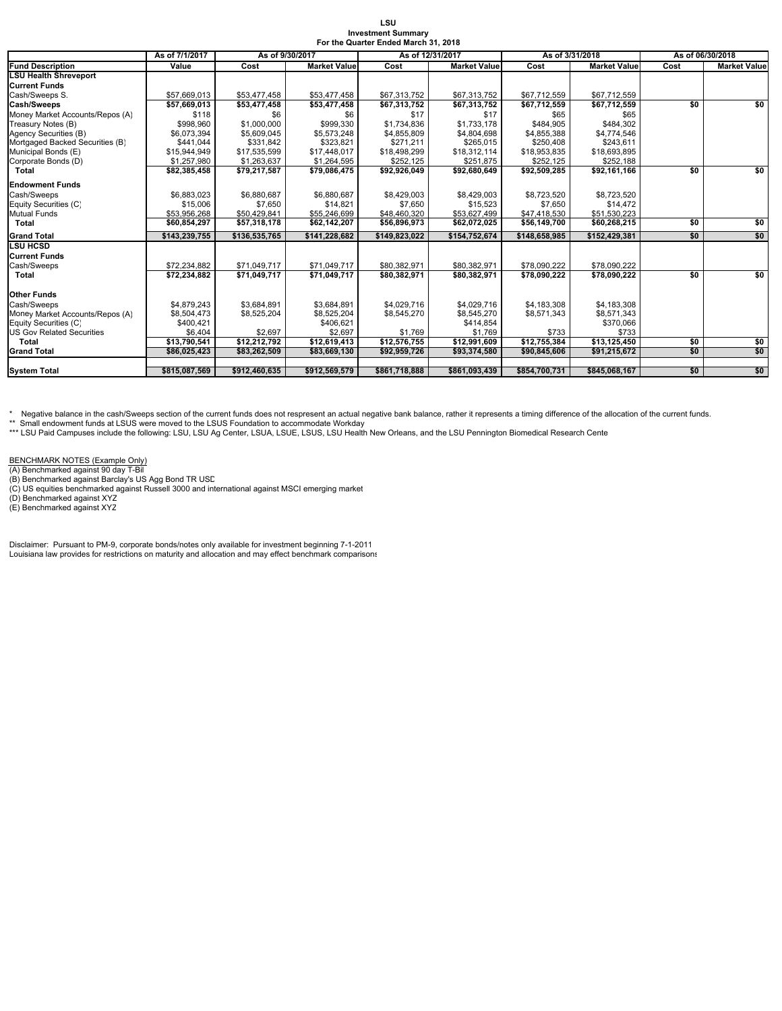| LSU                                  |
|--------------------------------------|
| <b>Investment Summary</b>            |
| For the Quarter Ended March 31. 2018 |

|                                  | As of 7/1/2017 | As of 9/30/2017 |                     | As of 12/31/2017 |                     | As of 3/31/2018 |                     | As of 06/30/2018 |                     |  |
|----------------------------------|----------------|-----------------|---------------------|------------------|---------------------|-----------------|---------------------|------------------|---------------------|--|
| <b>Fund Description</b>          | Value          | Cost            | <b>Market Value</b> | Cost             | <b>Market Value</b> | Cost            | <b>Market Value</b> | Cost             | <b>Market Value</b> |  |
| LSU Health Shreveport            |                |                 |                     |                  |                     |                 |                     |                  |                     |  |
| <b>Current Funds</b>             |                |                 |                     |                  |                     |                 |                     |                  |                     |  |
| Cash/Sweeps S.                   | \$57,669,013   | \$53,477,458    | \$53,477,458        | \$67,313,752     | \$67,313,752        | \$67,712,559    | \$67,712,559        |                  |                     |  |
| <b>Cash/Sweeps</b>               | \$57,669,013   | \$53,477,458    | \$53,477,458        | \$67,313,752     | \$67,313,752        | \$67,712,559    | \$67,712,559        | \$0              | \$0                 |  |
| Money Market Accounts/Repos (A)  | \$118          | \$6             | \$6                 | \$17             | \$17                | \$65            | \$65                |                  |                     |  |
| Treasury Notes (B)               | \$998,960      | \$1,000,000     | \$999,330           | \$1,734,836      | \$1,733,178         | \$484,905       | \$484,302           |                  |                     |  |
| Agency Securities (B)            | \$6,073,394    | \$5,609,045     | \$5,573,248         | \$4,855,809      | \$4,804,698         | \$4,855,388     | \$4,774,546         |                  |                     |  |
| Mortgaged Backed Securities (B)  | \$441.044      | \$331.842       | \$323.821           | \$271.211        | \$265.015           | \$250,408       | \$243.611           |                  |                     |  |
| Municipal Bonds (E)              | \$15.944.949   | \$17,535,599    | \$17,448,017        | \$18.498.299     | \$18.312.114        | \$18,953,835    | \$18,693,895        |                  |                     |  |
| Corporate Bonds (D)              | \$1,257,980    | \$1,263,637     | \$1,264,595         | \$252,125        | \$251.875           | \$252,125       | \$252,188           |                  |                     |  |
| Total                            | \$82,385,458   | \$79,217,587    | \$79,086,475        | \$92,926,049     | \$92,680,649        | \$92,509,285    | \$92,161,166        | \$0              | \$0                 |  |
| <b>Endowment Funds</b>           |                |                 |                     |                  |                     |                 |                     |                  |                     |  |
| Cash/Sweeps                      | \$6,883,023    | \$6,880,687     | \$6,880,687         | \$8,429,003      | \$8,429,003         | \$8,723,520     | \$8,723,520         |                  |                     |  |
| Equity Securities (C)            | \$15,006       | \$7,650         | \$14.821            | \$7,650          | \$15,523            | \$7,650         | \$14,472            |                  |                     |  |
| <b>Mutual Funds</b>              | \$53.956.268   | \$50,429,841    | \$55,246,699        | \$48.460.320     | \$53,627,499        | \$47,418,530    | \$51.530.223        |                  |                     |  |
| Total                            | \$60,854,297   | \$57,318,178    | \$62,142,207        | \$56,896,973     | \$62,072,025        | \$56,149,700    | \$60,268,215        | \$0              | \$0                 |  |
| <b>Grand Total</b>               | \$143.239.755  | \$136,535,765   | \$141.228.682       | \$149.823.022    | \$154.752.674       | \$148.658.985   | \$152,429,381       | \$0              | \$0                 |  |
| <b>LSU HCSD</b>                  |                |                 |                     |                  |                     |                 |                     |                  |                     |  |
| <b>Current Funds</b>             |                |                 |                     |                  |                     |                 |                     |                  |                     |  |
| Cash/Sweeps                      | \$72,234,882   | \$71,049,717    | \$71,049,717        | \$80,382,971     | \$80,382,971        | \$78,090,222    | \$78,090,222        |                  |                     |  |
| Total                            | \$72,234,882   | \$71,049,717    | \$71,049,717        | \$80,382,971     | \$80,382,971        | \$78,090,222    | \$78,090,222        | \$0              | \$0                 |  |
| <b>Other Funds</b>               |                |                 |                     |                  |                     |                 |                     |                  |                     |  |
| Cash/Sweeps                      | \$4,879,243    | \$3.684.891     | \$3.684.891         | \$4,029,716      | \$4,029,716         | \$4,183,308     | \$4,183,308         |                  |                     |  |
| Money Market Accounts/Repos (A)  | \$8,504,473    | \$8,525,204     | \$8,525,204         | \$8,545,270      | \$8,545,270         | \$8,571,343     | \$8,571,343         |                  |                     |  |
| Equity Securities (C)            | \$400,421      |                 | \$406,621           |                  | \$414,854           |                 | \$370,066           |                  |                     |  |
| <b>US Gov Related Securities</b> | \$6.404        | \$2.697         | \$2.697             | \$1,769          | \$1,769             | \$733           | \$733               |                  |                     |  |
| Total                            | \$13,790,541   | \$12,212,792    | \$12,619,413        | \$12,576,755     | \$12,991,609        | \$12,755,384    | \$13,125,450        | \$0              | \$0                 |  |
| <b>Grand Total</b>               | \$86,025,423   | \$83,262,509    | \$83,669,130        | \$92,959,726     | \$93,374,580        | \$90,845,606    | \$91,215,672        | \$0              | \$0                 |  |
|                                  |                |                 |                     |                  |                     |                 |                     |                  |                     |  |
| <b>System Total</b>              | \$815.087.569  | \$912.460.635   | \$912.569.579       | \$861.718.888    | \$861.093.439       | \$854.700.731   | \$845.068.167       | \$0              | \$0                 |  |

\* Negative balance in the cash/Sweeps section of the current funds does not respresent an actual negative bank balance, rather it represents a timing difference of the allocation of the current funds.<br>\*\* Small endowment fu

BENCHMARK NOTES (Example Only)<br>(A) Benchmarked against 90 day T-Bil<br>(B) Benchmarked against Barclay's US Agg Bond TR USD<br>(C) US equities benchmarked against Russell 3000 and international against MSCI emerging market<br>(D) B

Disclaimer: Pursuant to PM-9, corporate bonds/notes only available for investment beginning 7-1-2011 Louisiana law provides for restrictions on maturity and allocation and may effect benchmark comparisons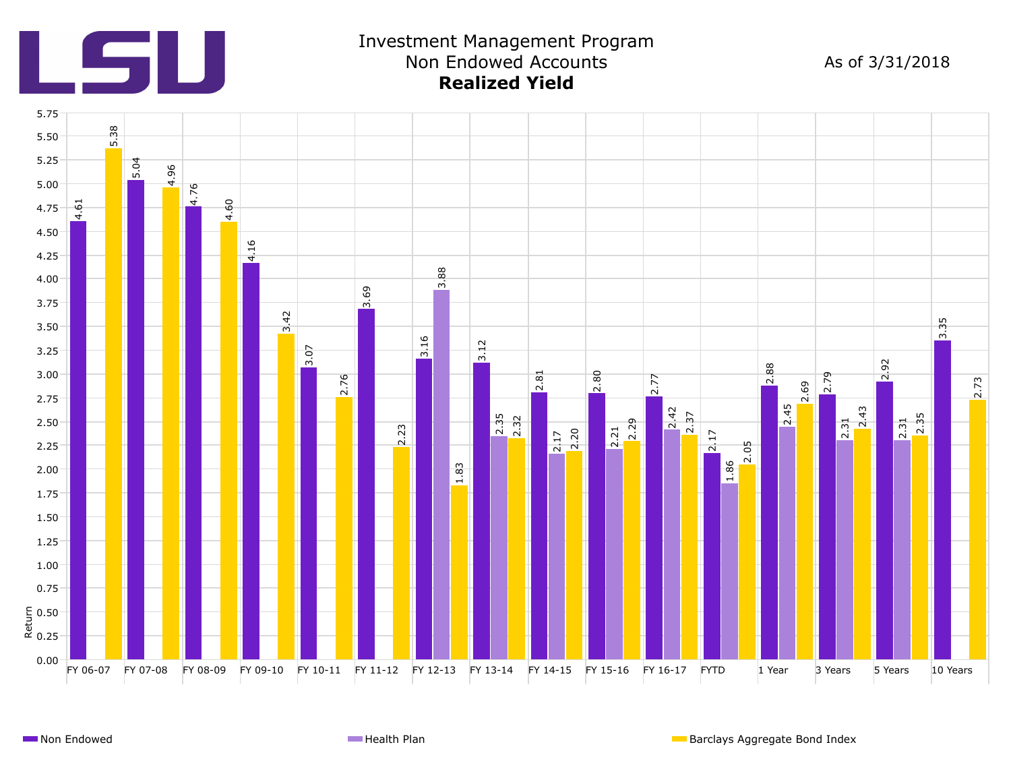

## Investment Management Program Non Endowed Accounts **Realized Yield**

As of 3/31/2018

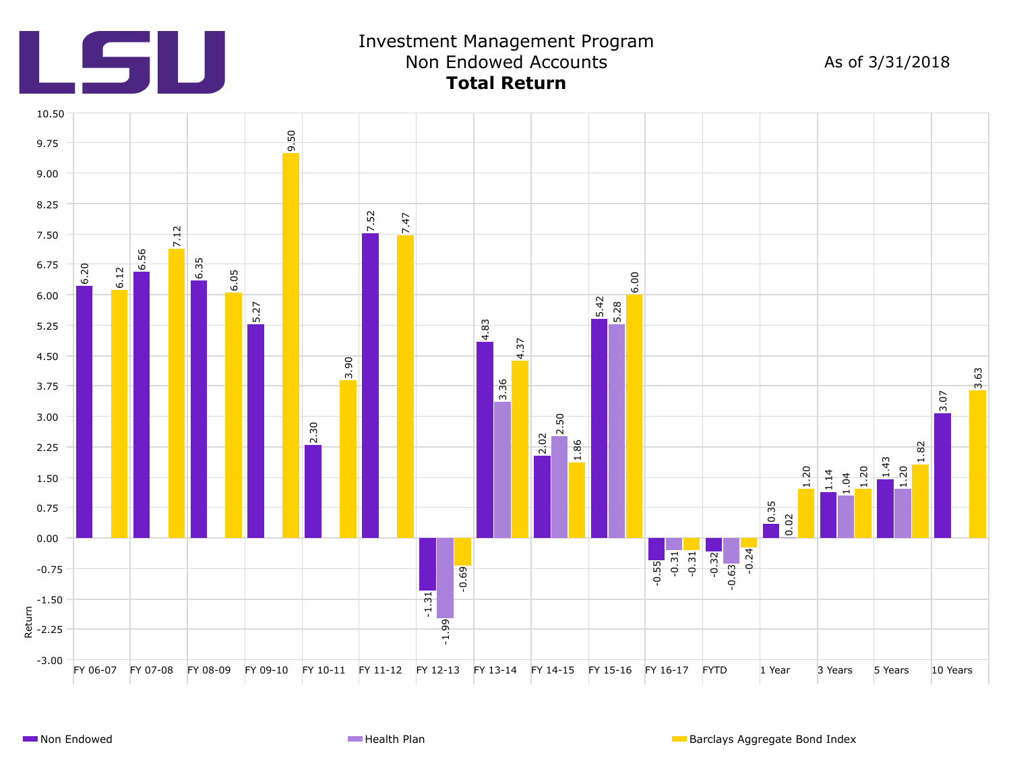

### Investment Management Program Non Endowed Accounts **Total Return**

As of 3/31/2018

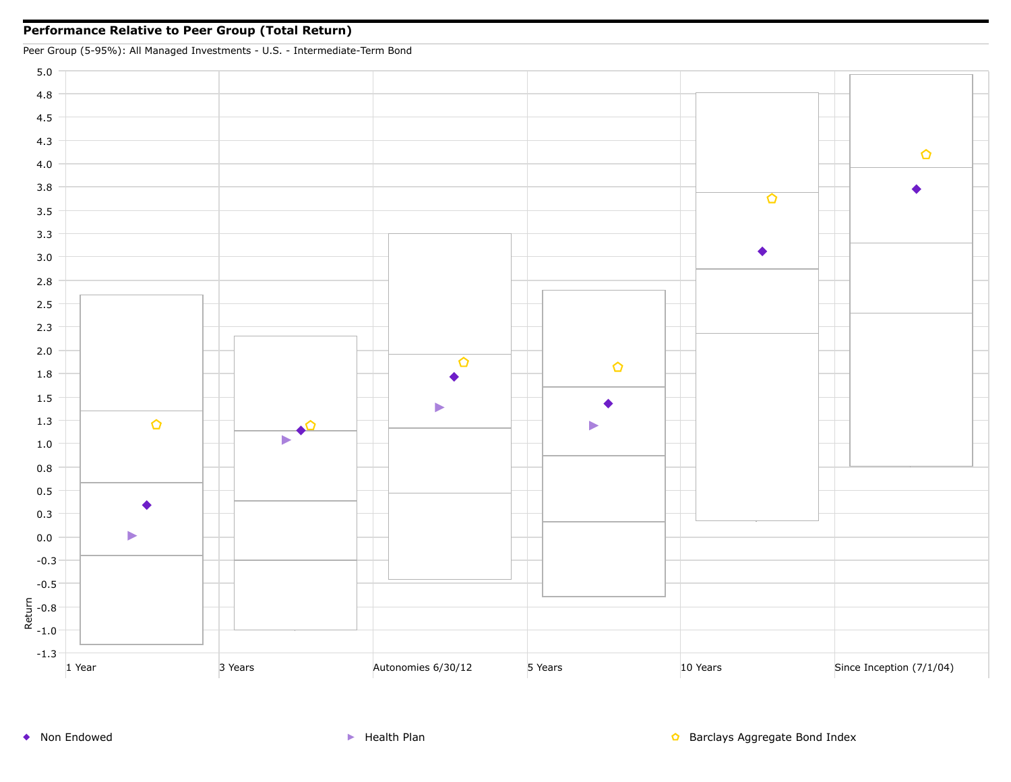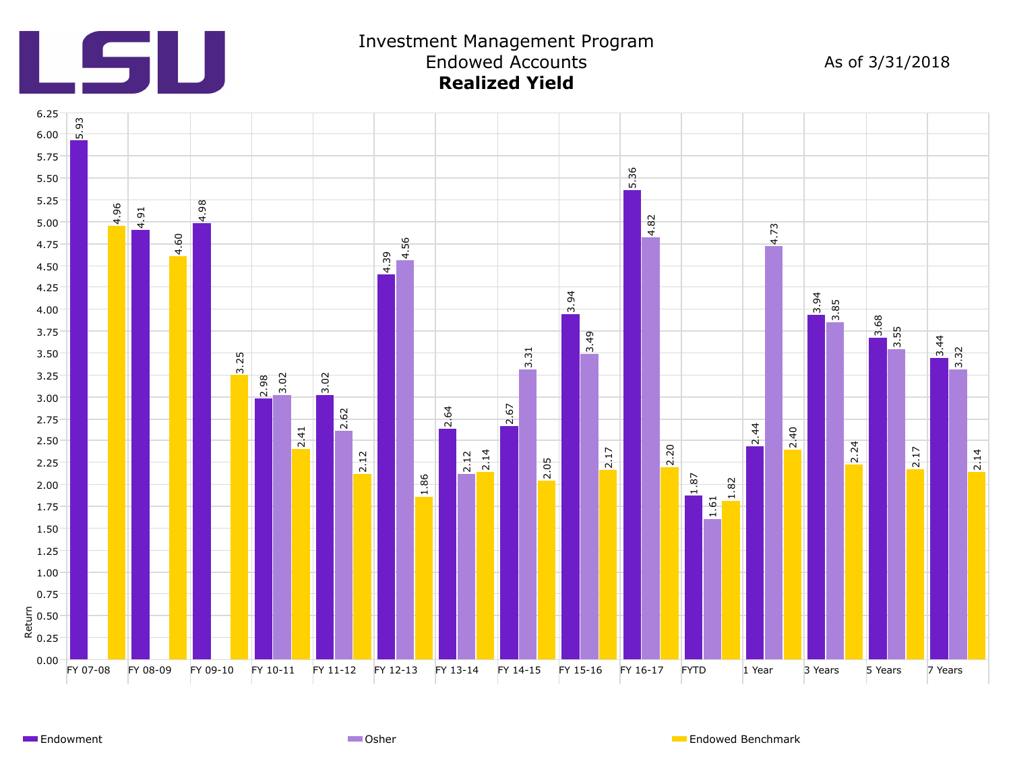

### Investment Management Program Endowed Accounts **Realized Yield**

As of 3/31/2018



Endowment **Endowed Benchmark** Communication Communication Communication Communication Communication Communication Communication Communication Communication Communication Communication Communication Communication Communicat